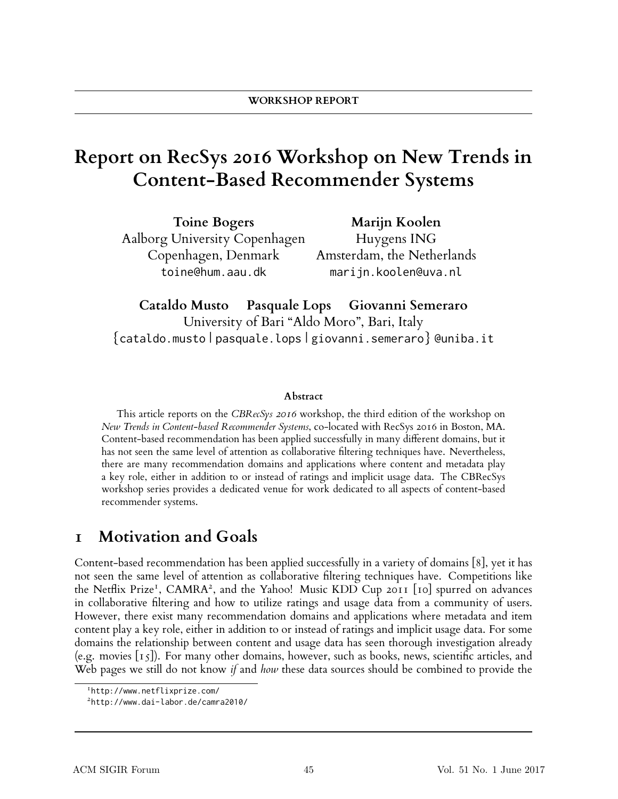# **Report on RecSys 2016 Workshop on New Trends in Content-Based Recommender Systems**

**Toine Bogers Marijn Koolen** Aalborg University Copenhagen Huygens ING toine@hum.aau.dk marijn.koolen@uva.nl

Copenhagen, Denmark Amsterdam, the Netherlands

**Cataldo Musto Pasquale Lops Giovanni Semeraro** University of Bari "Aldo Moro", Bari, Italy {cataldo.musto | pasquale.lops | giovanni.semeraro} @uniba.it

#### **Abstract**

This article reports on the *CBRecSys 2016* workshop, the third edition of the workshop on *New Trends in Content-based Recommender Systems*, co-located with RecSys 2016 in Boston, MA. Content-based recommendation has been applied successfully in many different domains, but it has not seen the same level of attention as collaborative filtering techniques have. Nevertheless, there are many recommendation domains and applications where content and metadata play a key role, either in addition to or instead of ratings and implicit usage data. The CBRecSys workshop series provides a dedicated venue for work dedicated to all aspects of content-based recommender systems.

### **1 Motivation and Goals**

Content-based recommendation has been applied successfully in a variety of domains [8], yet it has not seen the same level of attention as collaborative filtering techniques have. Competitions like the Netflix Prize<sup>1</sup>, CAMRA<sup>2</sup>, and the Yahoo! Music KDD Cup 2011 [10] spurred on advances in collaborative filtering and how to utilize ratings and usage data from a community of users. However, there exist many recommendation domains and applications where metadata and item content play a key role, either in addition to or instead of ratings and implicit usage data. For some domains the relationship between content and usage data has seen thorough investigation already (e.g. movies [15]). For many other domains, however, such as books, news, scientific articles, and Web pages we still do not know *if* and *how* these data sources should be combined to provide the

<sup>1</sup>http://www.netflixprize.com/

<sup>2</sup>http://www.dai-labor.de/camra2010/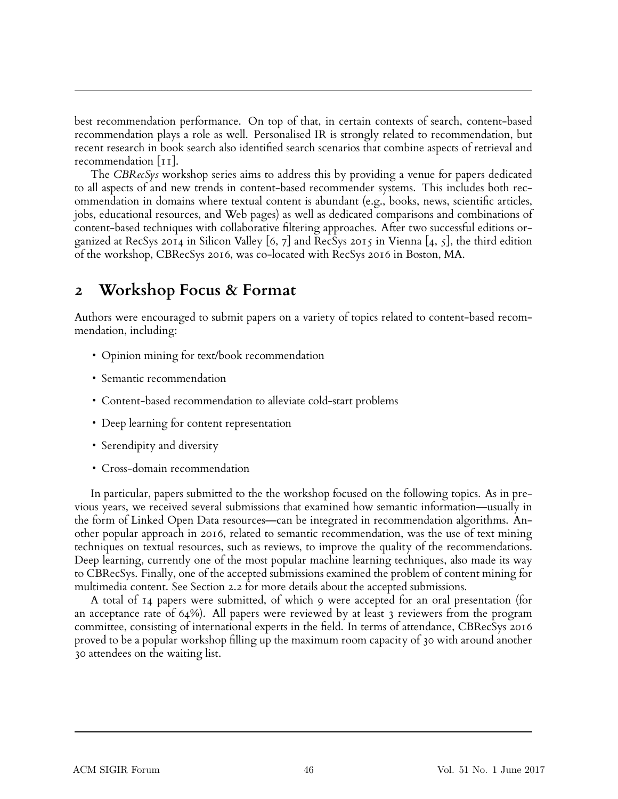best recommendation performance. On top of that, in certain contexts of search, content-based recommendation plays a role as well. Personalised IR is strongly related to recommendation, but recent research in book search also identified search scenarios that combine aspects of retrieval and recommendation [11].

The *CBRecSys* workshop series aims to address this by providing a venue for papers dedicated to all aspects of and new trends in content-based recommender systems. This includes both recommendation in domains where textual content is abundant (e.g., books, news, scientific articles, jobs, educational resources, and Web pages) as well as dedicated comparisons and combinations of content-based techniques with collaborative filtering approaches. After two successful editions organized at RecSys 2014 in Silicon Valley [6, 7] and RecSys 2015 in Vienna [4, 5], the third edition of the workshop, CBRecSys 2016, was co-located with RecSys 2016 in Boston, MA.

### **2 Workshop Focus & Format**

Authors were encouraged to submit papers on a variety of topics related to content-based recommendation, including:

- Opinion mining for text/book recommendation
- Semantic recommendation
- Content-based recommendation to alleviate cold-start problems
- Deep learning for content representation
- Serendipity and diversity
- Cross-domain recommendation

In particular, papers submitted to the the workshop focused on the following topics. As in previous years, we received several submissions that examined how semantic information—usually in the form of Linked Open Data resources—can be integrated in recommendation algorithms. Another popular approach in 2016, related to semantic recommendation, was the use of text mining techniques on textual resources, such as reviews, to improve the quality of the recommendations. Deep learning, currently one of the most popular machine learning techniques, also made its way to CBRecSys. Finally, one of the accepted submissions examined the problem of content mining for multimedia content. See Section 2.2 for more details about the accepted submissions.

A total of 14 papers were submitted, of which 9 were accepted for an oral presentation (for an acceptance rate of 64%). All papers were reviewed by at least 3 reviewers from the program committee, consisting of international experts in the field. In terms of attendance, CBRecSys 2016 proved to be a popular workshop filling up the maximum room capacity of 30 with around another 30 attendees on the waiting list.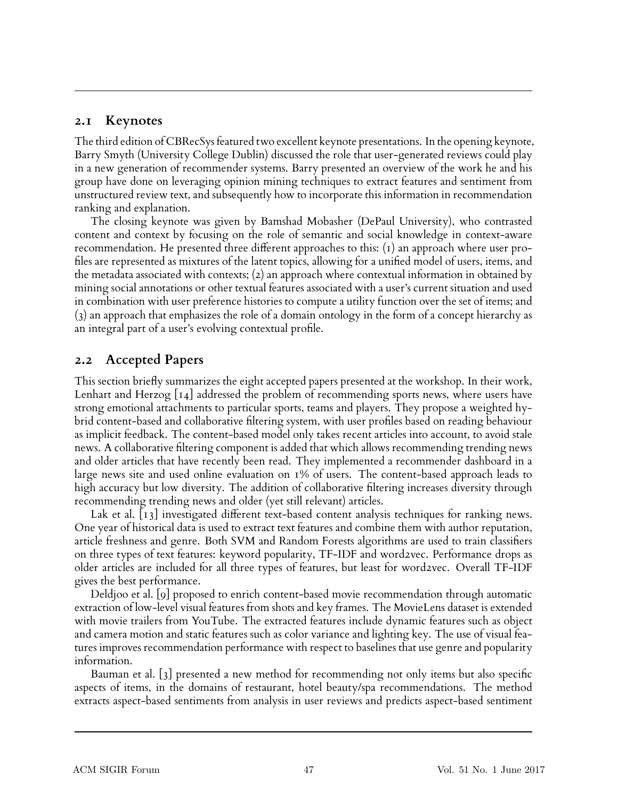#### **2.1 Keynotes**

The third edition of CBRecSys featured two excellent keynote presentations. In the opening keynote, Barry Smyth (University College Dublin) discussed the role that user-generated reviews could play in a new generation of recommender systems. Barry presented an overview of the work he and his group have done on leveraging opinion mining techniques to extract features and sentiment from unstructured review text, and subsequently how to incorporate this information in recommendation ranking and explanation.

The closing keynote was given by Bamshad Mobasher (DePaul University), who contrasted content and context by focusing on the role of semantic and social knowledge in context-aware recommendation. He presented three different approaches to this:  $(i)$  an approach where user profiles are represented as mixtures of the latent topics, allowing for a unified model of users, items, and the metadata associated with contexts; (2) an approach where contextual information in obtained by mining social annotations or other textual features associated with a user's current situation and used in combination with user preference histories to compute a utility function over the set of items; and (3) an approach that emphasizes the role of a domain ontology in the form of a concept hierarchy as an integral part of a user's evolving contextual profile.

### **2.2 Accepted Papers**

This section briefly summarizes the eight accepted papers presented at the workshop. In their work, Lenhart and Herzog [14] addressed the problem of recommending sports news, where users have strong emotional attachments to particular sports, teams and players. They propose a weighted hybrid content-based and collaborative filtering system, with user profiles based on reading behaviour as implicit feedback. The content-based model only takes recent articles into account, to avoid stale news. A collaborative filtering component is added that which allows recommending trending news and older articles that have recently been read. They implemented a recommender dashboard in a large news site and used online evaluation on 1% of users. The content-based approach leads to high accuracy but low diversity. The addition of collaborative filtering increases diversity through recommending trending news and older (yet still relevant) articles.

Lak et al.  $\lfloor \frac{1}{3} \rfloor$  investigated different text-based content analysis techniques for ranking news. One year of historical data is used to extract text features and combine them with author reputation, article freshness and genre. Both SVM and Random Forests algorithms are used to train classifiers on three types of text features: keyword popularity, TF-IDF and word2vec. Performance drops as older articles are included for all three types of features, but least for word2vec. Overall TF-IDF gives the best performance.

Deldjoo et al. [9] proposed to enrich content-based movie recommendation through automatic extraction of low-level visual features from shots and key frames. The MovieLens dataset is extended with movie trailers from YouTube. The extracted features include dynamic features such as object and camera motion and static features such as color variance and lighting key. The use of visual features improves recommendation performance with respect to baselines that use genre and popularity information.

Bauman et al. [3] presented a new method for recommending not only items but also specific aspects of items, in the domains of restaurant, hotel beauty/spa recommendations. The method extracts aspect-based sentiments from analysis in user reviews and predicts aspect-based sentiment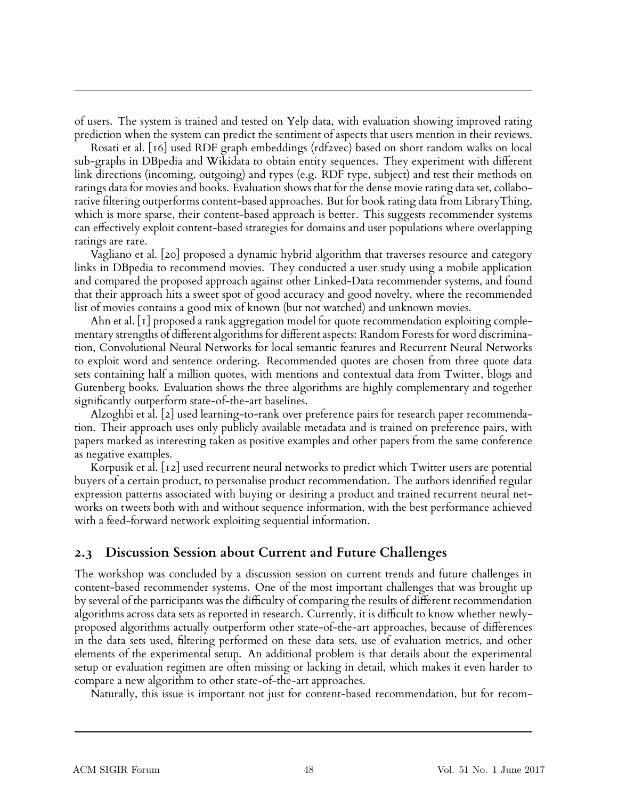of users. The system is trained and tested on Yelp data, with evaluation showing improved rating prediction when the system can predict the sentiment of aspects that users mention in their reviews.

Rosati et al. [16] used RDF graph embeddings (rdf2vec) based on short random walks on local sub-graphs in DBpedia and Wikidata to obtain entity sequences. They experiment with different link directions (incoming, outgoing) and types (e.g. RDF type, subject) and test their methods on ratings data for movies and books. Evaluation shows that for the dense movie rating data set, collaborative filtering outperforms content-based approaches. But for book rating data from LibraryThing, which is more sparse, their content-based approach is better. This suggests recommender systems can effectively exploit content-based strategies for domains and user populations where overlapping ratings are rare.

Vagliano et al. [20] proposed a dynamic hybrid algorithm that traverses resource and category links in DBpedia to recommend movies. They conducted a user study using a mobile application and compared the proposed approach against other Linked-Data recommender systems, and found that their approach hits a sweet spot of good accuracy and good novelty, where the recommended list of movies contains a good mix of known (but not watched) and unknown movies.

Ahn et al. [1] proposed a rank aggregation model for quote recommendation exploiting complementary strengths of different algorithms for different aspects: Random Forests for word discrimination, Convolutional Neural Networks for local semantic features and Recurrent Neural Networks to exploit word and sentence ordering. Recommended quotes are chosen from three quote data sets containing half a million quotes, with mentions and contextual data from Twitter, blogs and Gutenberg books. Evaluation shows the three algorithms are highly complementary and together significantly outperform state-of-the-art baselines.

Alzoghbi et al. [2] used learning-to-rank over preference pairs for research paper recommendation. Their approach uses only publicly available metadata and is trained on preference pairs, with papers marked as interesting taken as positive examples and other papers from the same conference as negative examples.

Korpusik et al. [12] used recurrent neural networks to predict which Twitter users are potential buyers of a certain product, to personalise product recommendation. The authors identified regular expression patterns associated with buying or desiring a product and trained recurrent neural networks on tweets both with and without sequence information, with the best performance achieved with a feed-forward network exploiting sequential information.

#### **2.3 Discussion Session about Current and Future Challenges**

The workshop was concluded by a discussion session on current trends and future challenges in content-based recommender systems. One of the most important challenges that was brought up by several of the participants was the difficulty of comparing the results of different recommendation algorithms across data sets as reported in research. Currently, it is difficult to know whether newlyproposed algorithms actually outperform other state-of-the-art approaches, because of differences in the data sets used, filtering performed on these data sets, use of evaluation metrics, and other elements of the experimental setup. An additional problem is that details about the experimental setup or evaluation regimen are often missing or lacking in detail, which makes it even harder to compare a new algorithm to other state-of-the-art approaches.

Naturally, this issue is important not just for content-based recommendation, but for recom-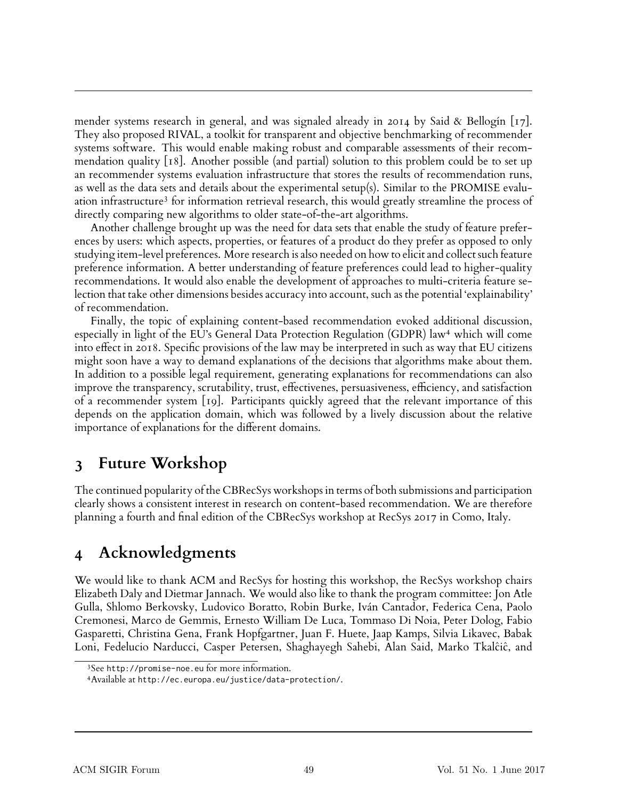mender systems research in general, and was signaled already in 2014 by Said & Bellogín [17]. They also proposed RIVAL, a toolkit for transparent and objective benchmarking of recommender systems software. This would enable making robust and comparable assessments of their recommendation quality [18]. Another possible (and partial) solution to this problem could be to set up an recommender systems evaluation infrastructure that stores the results of recommendation runs, as well as the data sets and details about the experimental setup(s). Similar to the PROMISE evaluation infrastructure<sup>3</sup> for information retrieval research, this would greatly streamline the process of directly comparing new algorithms to older state-of-the-art algorithms.

Another challenge brought up was the need for data sets that enable the study of feature preferences by users: which aspects, properties, or features of a product do they prefer as opposed to only studying item-level preferences. More research is also needed on how to elicit and collect such feature preference information. A better understanding of feature preferences could lead to higher-quality recommendations. It would also enable the development of approaches to multi-criteria feature selection that take other dimensions besides accuracy into account, such as the potential 'explainability' of recommendation.

Finally, the topic of explaining content-based recommendation evoked additional discussion, especially in light of the EU's General Data Protection Regulation (GDPR) law<sup>4</sup> which will come into effect in 2018. Specific provisions of the law may be interpreted in such as way that EU citizens might soon have a way to demand explanations of the decisions that algorithms make about them. In addition to a possible legal requirement, generating explanations for recommendations can also improve the transparency, scrutability, trust, effectivenes, persuasiveness, efficiency, and satisfaction of a recommender system  $|19|$ . Participants quickly agreed that the relevant importance of this depends on the application domain, which was followed by a lively discussion about the relative importance of explanations for the different domains.

### **3 Future Workshop**

The continued popularity of the CBRecSys workshops in terms of both submissions and participation clearly shows a consistent interest in research on content-based recommendation. We are therefore planning a fourth and final edition of the CBRecSys workshop at RecSys 2017 in Como, Italy.

## **4 Acknowledgments**

We would like to thank ACM and RecSys for hosting this workshop, the RecSys workshop chairs Elizabeth Daly and Dietmar Jannach. We would also like to thank the program committee: Jon Atle Gulla, Shlomo Berkovsky, Ludovico Boratto, Robin Burke, Iván Cantador, Federica Cena, Paolo Cremonesi, Marco de Gemmis, Ernesto William De Luca, Tommaso Di Noia, Peter Dolog, Fabio Gasparetti, Christina Gena, Frank Hopfgartner, Juan F. Huete, Jaap Kamps, Silvia Likavec, Babak Loni, Fedelucio Narducci, Casper Petersen, Shaghayegh Sahebi, Alan Said, Marko Tkalĉiĉ, and

<sup>3</sup>See http://promise-noe.eu for more information.

<sup>4</sup>Available at http://ec.europa.eu/justice/data-protection/.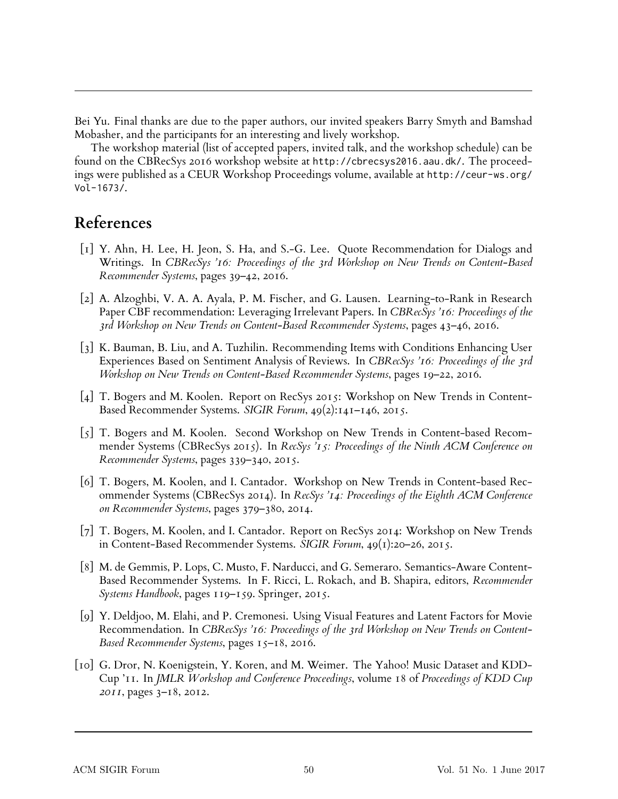Bei Yu. Final thanks are due to the paper authors, our invited speakers Barry Smyth and Bamshad Mobasher, and the participants for an interesting and lively workshop.

The workshop material (list of accepted papers, invited talk, and the workshop schedule) can be found on the CBRecSys 2016 workshop website at http://cbrecsys2016.aau.dk/. The proceedings were published as a CEUR Workshop Proceedings volume, available at http://ceur-ws.org/ Vol-1673/.

### **References**

- [1] Y. Ahn, H. Lee, H. Jeon, S. Ha, and S.-G. Lee. Quote Recommendation for Dialogs and Writings. In *CBRecSys '16: Proceedings of the 3rd Workshop on New Trends on Content-Based Recommender Systems*, pages 39–42, 2016.
- [2] A. Alzoghbi, V. A. A. Ayala, P. M. Fischer, and G. Lausen. Learning-to-Rank in Research Paper CBF recommendation: Leveraging Irrelevant Papers. In *CBRecSys '16: Proceedings of the 3rd Workshop on New Trends on Content-Based Recommender Systems*, pages 43–46, 2016.
- [3] K. Bauman, B. Liu, and A. Tuzhilin. Recommending Items with Conditions Enhancing User Experiences Based on Sentiment Analysis of Reviews. In *CBRecSys '16: Proceedings of the 3rd Workshop on New Trends on Content-Based Recommender Systems*, pages 19–22, 2016.
- [4] T. Bogers and M. Koolen. Report on RecSys 2015: Workshop on New Trends in Content-Based Recommender Systems. *SIGIR Forum*, 49(2):141–146, 2015.
- [5] T. Bogers and M. Koolen. Second Workshop on New Trends in Content-based Recommender Systems (CBRecSys 2015). In *RecSys '15: Proceedings of the Ninth ACM Conference on Recommender Systems*, pages 339–340, 2015.
- [6] T. Bogers, M. Koolen, and I. Cantador. Workshop on New Trends in Content-based Recommender Systems (CBRecSys 2014). In *RecSys '14: Proceedings of the Eighth ACM Conference on Recommender Systems*, pages 379–380, 2014.
- [7] T. Bogers, M. Koolen, and I. Cantador. Report on RecSys 2014: Workshop on New Trends in Content-Based Recommender Systems. *SIGIR Forum*, 49(1):20–26, 2015.
- [8] M. de Gemmis, P. Lops, C. Musto, F. Narducci, and G. Semeraro. Semantics-Aware Content-Based Recommender Systems. In F. Ricci, L. Rokach, and B. Shapira, editors, *Recommender Systems Handbook*, pages 119–159. Springer, 2015.
- [9] Y. Deldjoo, M. Elahi, and P. Cremonesi. Using Visual Features and Latent Factors for Movie Recommendation. In *CBRecSys '16: Proceedings of the 3rd Workshop on New Trends on Content-Based Recommender Systems*, pages 15–18, 2016.
- [10] G. Dror, N. Koenigstein, Y. Koren, and M. Weimer. The Yahoo! Music Dataset and KDD-Cup '11. In *JMLR Workshop and Conference Proceedings*, volume 18 of *Proceedings of KDD Cup 2011*, pages 3–18, 2012.